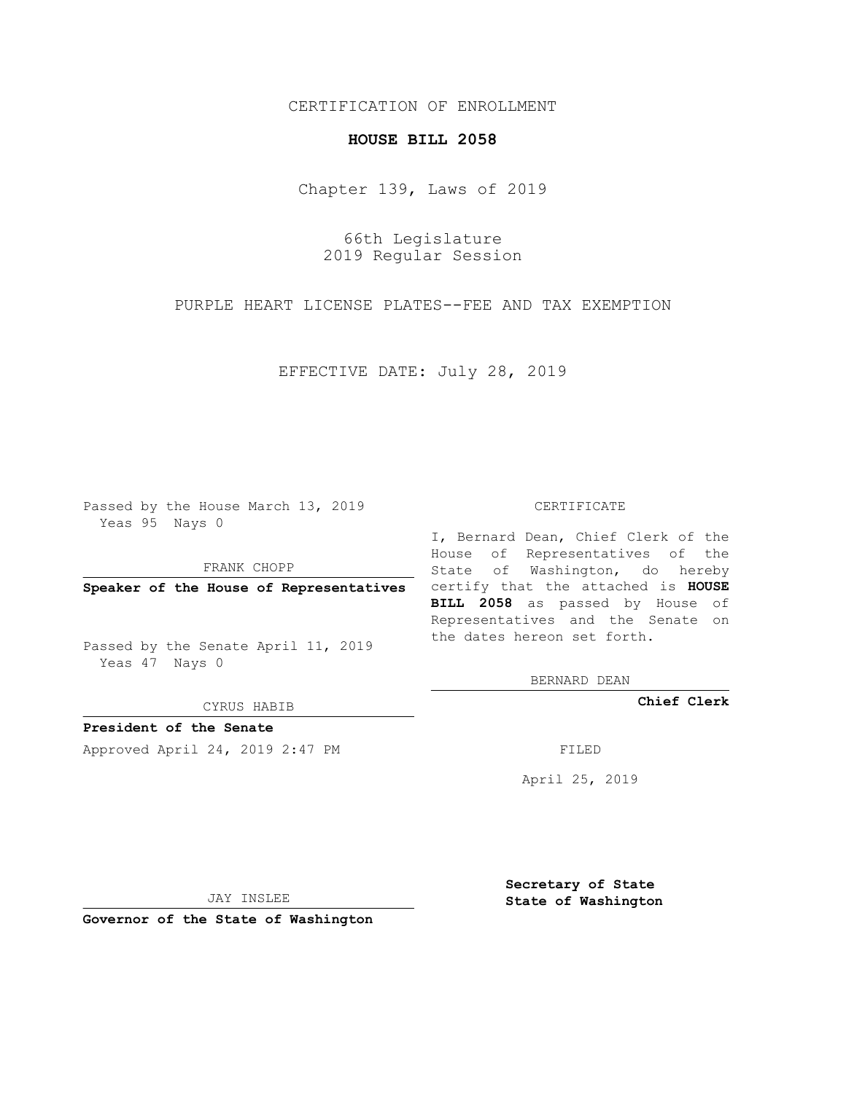## CERTIFICATION OF ENROLLMENT

## **HOUSE BILL 2058**

Chapter 139, Laws of 2019

66th Legislature 2019 Regular Session

PURPLE HEART LICENSE PLATES--FEE AND TAX EXEMPTION

EFFECTIVE DATE: July 28, 2019

Passed by the House March 13, 2019 Yeas 95 Nays 0

FRANK CHOPP

Passed by the Senate April 11, 2019 Yeas 47 Nays 0

CYRUS HABIB

**President of the Senate**

Approved April 24, 2019 2:47 PM FILED

## CERTIFICATE

**Speaker of the House of Representatives** certify that the attached is **HOUSE** I, Bernard Dean, Chief Clerk of the House of Representatives of the State of Washington, do hereby **BILL 2058** as passed by House of Representatives and the Senate on the dates hereon set forth.

BERNARD DEAN

**Chief Clerk**

April 25, 2019

JAY INSLEE

**Governor of the State of Washington**

**Secretary of State State of Washington**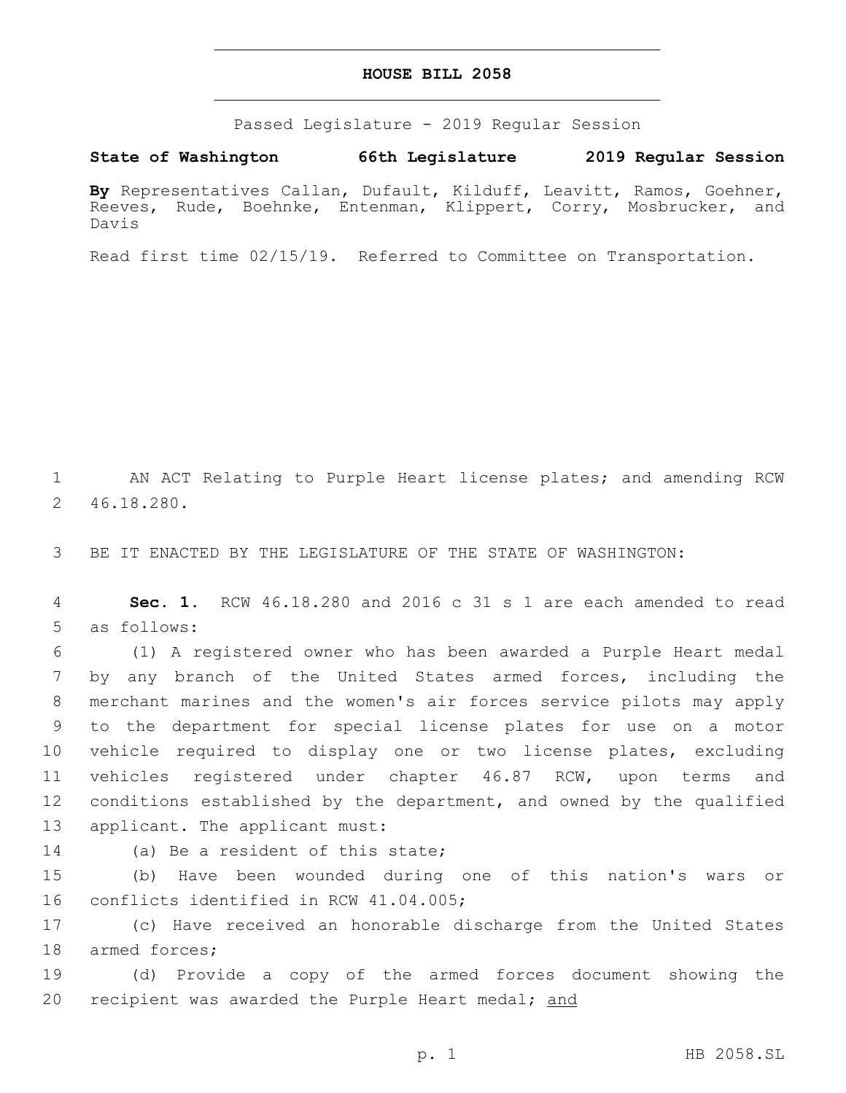## **HOUSE BILL 2058**

Passed Legislature - 2019 Regular Session

**State of Washington 66th Legislature 2019 Regular Session**

**By** Representatives Callan, Dufault, Kilduff, Leavitt, Ramos, Goehner, Reeves, Rude, Boehnke, Entenman, Klippert, Corry, Mosbrucker, and Davis

Read first time 02/15/19. Referred to Committee on Transportation.

1 AN ACT Relating to Purple Heart license plates; and amending RCW 46.18.280.2

3 BE IT ENACTED BY THE LEGISLATURE OF THE STATE OF WASHINGTON:

4 **Sec. 1.** RCW 46.18.280 and 2016 c 31 s 1 are each amended to read 5 as follows:

 (1) A registered owner who has been awarded a Purple Heart medal by any branch of the United States armed forces, including the merchant marines and the women's air forces service pilots may apply to the department for special license plates for use on a motor vehicle required to display one or two license plates, excluding vehicles registered under chapter 46.87 RCW, upon terms and conditions established by the department, and owned by the qualified 13 applicant. The applicant must:

14 (a) Be a resident of this state;

15 (b) Have been wounded during one of this nation's wars or 16 conflicts identified in RCW 41.04.005;

17 (c) Have received an honorable discharge from the United States 18 armed forces;

19 (d) Provide a copy of the armed forces document showing the 20 recipient was awarded the Purple Heart medal; and